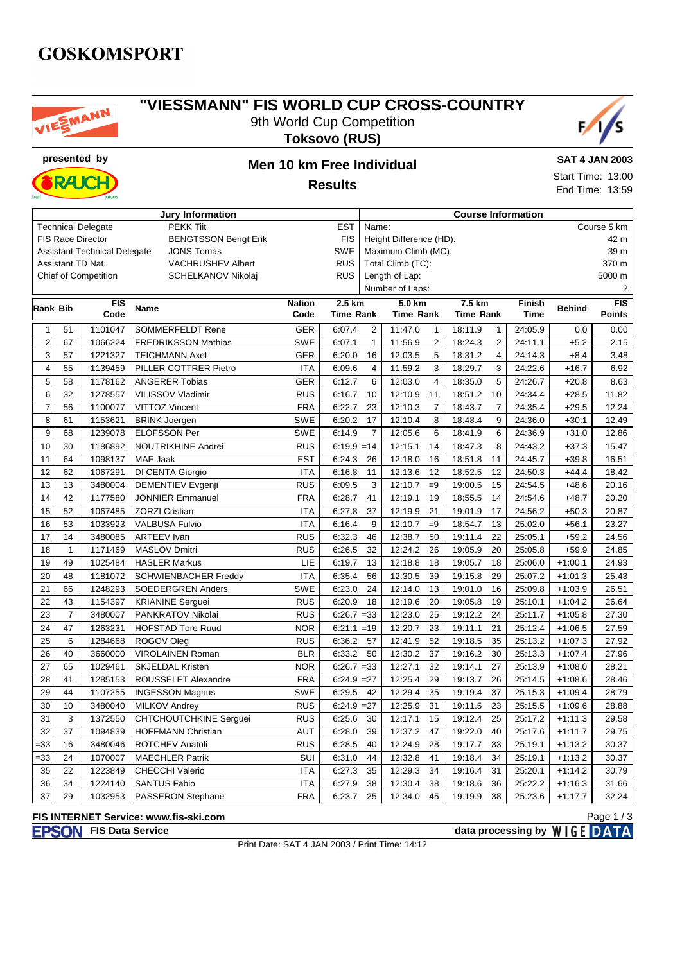## **GOSKOMSPORT**



### **"VIESSMANN" FIS WORLD CUP CROSS-COUNTRY** 9th World Cup Competition

**Toksovo (RUS)**





## **presented by Men 10 km Free Individual Results**

#### **SAT 4 JAN 2003**

Start Time: 13:00 End Time: 13:59

Page 1 / 3

| <b>Jury Information</b>                                  |                |                             |                               |               |                                       |                      | <b>Course Information</b> |                  |                |         |               |               |  |
|----------------------------------------------------------|----------------|-----------------------------|-------------------------------|---------------|---------------------------------------|----------------------|---------------------------|------------------|----------------|---------|---------------|---------------|--|
| <b>Technical Delegate</b><br><b>PEKK Tiit</b>            |                |                             |                               |               | <b>EST</b>                            | Name:                |                           |                  |                |         | Course 5 km   |               |  |
| <b>BENGTSSON Bengt Erik</b><br><b>FIS Race Director</b>  |                |                             |                               |               | <b>FIS</b><br>Height Difference (HD): |                      |                           |                  |                |         | 42 m          |               |  |
| <b>Assistant Technical Delegate</b><br><b>JONS Tomas</b> |                |                             |                               |               | <b>SWE</b>                            | Maximum Climb (MC):  |                           |                  |                |         | 39 m          |               |  |
|                                                          |                | Assistant TD Nat.           | <b>VACHRUSHEV Albert</b>      |               | <b>RUS</b>                            |                      | Total Climb (TC):         |                  |                |         | 370 m         |               |  |
|                                                          |                | <b>Chief of Competition</b> | <b>SCHELKANOV Nikolai</b>     |               | <b>RUS</b>                            |                      | Length of Lap:            |                  |                |         | 5000 m        |               |  |
|                                                          |                |                             |                               |               |                                       | Number of Laps:<br>2 |                           |                  |                |         |               |               |  |
| Rank Bib                                                 |                | <b>FIS</b>                  | <b>Name</b>                   | <b>Nation</b> | 2.5 km                                |                      | 5.0 km                    | 7.5 km           |                | Finish  | <b>Behind</b> | FIS           |  |
|                                                          |                | Code                        |                               | Code          | <b>Time Rank</b>                      |                      | <b>Time Rank</b>          | <b>Time Rank</b> |                | Time    |               | <b>Points</b> |  |
| $\mathbf{1}$                                             | 51             | 1101047                     | <b>SOMMERFELDT Rene</b>       | <b>GER</b>    | 6:07.4                                | $\overline{2}$       | 11:47.0<br>$\mathbf{1}$   | 18:11.9          | $\mathbf{1}$   | 24:05.9 | 0.0           | 0.00          |  |
| $\overline{2}$                                           | 67             | 1066224                     | <b>FREDRIKSSON Mathias</b>    | <b>SWE</b>    | 6:07.1                                | $\mathbf{1}$         | $\sqrt{2}$<br>11:56.9     | 18:24.3          | $\overline{2}$ | 24:11.1 | $+5.2$        | 2.15          |  |
| 3                                                        | 57             | 1221327                     | <b>TEICHMANN Axel</b>         | <b>GER</b>    | 6:20.0                                | 16                   | 12:03.5<br>5              | 18:31.2          | $\overline{4}$ | 24:14.3 | $+8.4$        | 3.48          |  |
| $\overline{4}$                                           | 55             | 1139459                     | PILLER COTTRER Pietro         | <b>ITA</b>    | 6:09.6                                | $\overline{4}$       | $\mathsf 3$<br>11:59.2    | 18:29.7          | 3              | 24:22.6 | $+16.7$       | 6.92          |  |
| 5                                                        | 58             | 1178162                     | <b>ANGERER Tobias</b>         | GER           | 6:12.7                                | 6                    | $\overline{4}$<br>12:03.0 | 18:35.0          | 5              | 24:26.7 | $+20.8$       | 8.63          |  |
| 6                                                        | 32             | 1278557                     | VILISSOV Vladimir             | <b>RUS</b>    | 6:16.7                                | 10                   | 12:10.9<br>11             | 18:51.2          | 10             | 24:34.4 | $+28.5$       | 11.82         |  |
| $\overline{7}$                                           | 56             | 1100077                     | VITTOZ Vincent                | <b>FRA</b>    | 6:22.7                                | 23                   | 12:10.3<br>$\overline{7}$ | 18:43.7          | $\overline{7}$ | 24:35.4 | $+29.5$       | 12.24         |  |
| 8                                                        | 61             | 1153621                     | <b>BRINK Joergen</b>          | <b>SWE</b>    | 6:20.2                                | 17                   | 12:10.4<br>8              | 18:48.4          | 9              | 24:36.0 | $+30.1$       | 12.49         |  |
| 9                                                        | 68             | 1239078                     | <b>ELOFSSON Per</b>           | <b>SWE</b>    | 6:14.9                                | $\overline{7}$       | 12:05.6<br>6              | 18:41.9          | 6              | 24:36.9 | $+31.0$       | 12.86         |  |
| 10                                                       | 30             | 1186892                     | NOUTRIKHINE Andrei            | <b>RUS</b>    | $6:19.9 = 14$                         |                      | 12:15.1<br>14             | 18:47.3          | 8              | 24:43.2 | $+37.3$       | 15.47         |  |
| 11                                                       | 64             | 1098137                     | MAE Jaak                      | <b>EST</b>    | 6:24.3                                | 26                   | 12:18.0<br>16             | 18:51.8          | 11             | 24:45.7 | $+39.8$       | 16.51         |  |
| 12                                                       | 62             | 1067291                     | DI CENTA Giorgio              | <b>ITA</b>    | 6:16.8                                | 11                   | 12:13.6<br>12             | 18:52.5          | 12             | 24:50.3 | $+44.4$       | 18.42         |  |
| 13                                                       | 13             | 3480004                     | <b>DEMENTIEV Evgenji</b>      | <b>RUS</b>    | 6:09.5                                | 3                    | 12:10.7<br>$=9$           | 19:00.5          | 15             | 24:54.5 | $+48.6$       | 20.16         |  |
| 14                                                       | 42             | 1177580                     | <b>JONNIER Emmanuel</b>       | <b>FRA</b>    | 6:28.7                                | 41                   | 12:19.1<br>19             | 18:55.5          | 14             | 24:54.6 | $+48.7$       | 20.20         |  |
| 15                                                       | 52             | 1067485                     | <b>ZORZI Cristian</b>         | <b>ITA</b>    | 6:27.8                                | 37                   | 12:19.9<br>21             | 19:01.9          | 17             | 24:56.2 | $+50.3$       | 20.87         |  |
| 16                                                       | 53             | 1033923                     | <b>VALBUSA Fulvio</b>         | <b>ITA</b>    | 6:16.4                                | 9                    | 12:10.7<br>$=9$           | 18:54.7          | 13             | 25:02.0 | $+56.1$       | 23.27         |  |
| 17                                                       | 14             | 3480085                     | <b>ARTEEV Ivan</b>            | <b>RUS</b>    | 6:32.3                                | 46                   | 50<br>12:38.7             | 19:11.4          | 22             | 25:05.1 | $+59.2$       | 24.56         |  |
| 18                                                       | $\mathbf{1}$   | 1171469                     | <b>MASLOV Dmitri</b>          | <b>RUS</b>    | 6:26.5                                | 32                   | 12:24.2<br>26             | 19:05.9          | 20             | 25:05.8 | $+59.9$       | 24.85         |  |
| 19                                                       | 49             | 1025484                     | <b>HASLER Markus</b>          | LIE           | 6:19.7                                | 13                   | 12:18.8<br>18             | 19:05.7          | 18             | 25:06.0 | $+1:00.1$     | 24.93         |  |
| 20                                                       | 48             | 1181072                     | <b>SCHWIENBACHER Freddy</b>   | <b>ITA</b>    | 6:35.4                                | 56                   | 12:30.5<br>39             | 19:15.8          | 29             | 25:07.2 | $+1:01.3$     | 25.43         |  |
| 21                                                       | 66             | 1248293                     | <b>SOEDERGREN Anders</b>      | <b>SWE</b>    | 6:23.0                                | 24                   | 12:14.0<br>13             | 19:01.0          | 16             | 25:09.8 | $+1:03.9$     | 26.51         |  |
| 22                                                       | 43             | 1154397                     | <b>KRIANINE Serguei</b>       | <b>RUS</b>    | 6:20.9                                | 18                   | 12:19.6<br>20             | 19:05.8          | 19             | 25:10.1 | $+1:04.2$     | 26.64         |  |
| 23                                                       | $\overline{7}$ | 3480007                     | PANKRATOV Nikolai             | <b>RUS</b>    | $6:26.7 = 33$                         |                      | 12:23.0<br>25             | 19:12.2          | 24             | 25:11.7 | $+1:05.8$     | 27.30         |  |
| 24                                                       | 47             | 1263231                     | <b>HOFSTAD Tore Ruud</b>      | <b>NOR</b>    | $6:21.1 = 19$                         |                      | 23<br>12:20.7             | 19:11.1          | 21             | 25:12.4 | $+1:06.5$     | 27.59         |  |
| 25                                                       | 6              | 1284668                     | ROGOV Oleg                    | <b>RUS</b>    | 6:36.2                                | 57                   | 12:41.9<br>52             | 19:18.5          | 35             | 25:13.2 | $+1:07.3$     | 27.92         |  |
| 26                                                       | 40             | 3660000                     | <b>VIROLAINEN Roman</b>       | <b>BLR</b>    | 6:33.2                                | 50                   | 12:30.2<br>37             | 19:16.2          | 30             | 25:13.3 | $+1:07.4$     | 27.96         |  |
| 27                                                       | 65             | 1029461                     | <b>SKJELDAL Kristen</b>       | <b>NOR</b>    | $6:26.7 = 33$                         |                      | 12:27.1<br>32             | 19:14.1          | 27             | 25:13.9 | $+1:08.0$     | 28.21         |  |
| 28                                                       | 41             | 1285153                     | ROUSSELET Alexandre           | <b>FRA</b>    | $6:24.9 = 27$                         |                      | 12:25.4<br>29             | 19:13.7          | 26             | 25:14.5 | $+1:08.6$     | 28.46         |  |
| 29                                                       | 44             | 1107255                     | <b>INGESSON Magnus</b>        | <b>SWE</b>    | 6:29.5                                | 42                   | 12:29.4<br>35             | 19:19.4          | 37             | 25:15.3 | $+1:09.4$     | 28.79         |  |
| 30                                                       | 10             | 3480040                     | <b>MILKOV Andrey</b>          | <b>RUS</b>    | $6:24.9 = 27$                         |                      | 12:25.9<br>31             | 19:11.5          | 23             | 25:15.5 | $+1:09.6$     | 28.88         |  |
| 31                                                       | 3              | 1372550                     | <b>CHTCHOUTCHKINE Serguei</b> | <b>RUS</b>    | 6:25.6                                | 30                   | 15<br>12:17.1             | 19:12.4          | 25             | 25:17.2 | $+1:11.3$     | 29.58         |  |
| 32                                                       | 37             | 1094839                     | <b>HOFFMANN Christian</b>     | <b>AUT</b>    | 6:28.0                                | 39                   | 12:37.2<br>47             | 19:22.0          | 40             | 25:17.6 | $+1:11.7$     | 29.75         |  |
| $= 33$                                                   | 16             | 3480046                     | ROTCHEV Anatoli               | <b>RUS</b>    | 6:28.5                                | 40                   | 28<br>12:24.9             | 19:17.7          | 33             | 25:19.1 | $+1:13.2$     | 30.37         |  |
| $= 33$                                                   | 24             | 1070007                     | <b>MAECHLER Patrik</b>        | SUI           | 6:31.0                                | 44                   | 41<br>12:32.8             | 19:18.4          | 34             | 25:19.1 | $+1:13.2$     | 30.37         |  |
| 35                                                       | 22             | 1223849                     | <b>CHECCHI Valerio</b>        | <b>ITA</b>    | 6:27.3                                | 35                   | 12:29.3<br>34             | 19:16.4          | 31             | 25:20.1 | $+1:14.2$     | 30.79         |  |
| 36                                                       | 34             | 1224140                     | <b>SANTUS Fabio</b>           | <b>ITA</b>    | 6:27.9                                | 38                   | 12:30.4<br>38             | 19:18.6          | 36             | 25:22.2 | $+1:16.3$     | 31.66         |  |
| 37                                                       | 29             | 1032953                     | PASSERON Stephane             | <b>FRA</b>    | 6:23.7                                | 25                   | 12:34.0<br>45             | 19:19.9          | 38             | 25:23.6 | $+1:17.7$     | 32.24         |  |

#### **FIS INTERNET Service: www.fis-ski.com**

**FIS Data Service data processing by**  $W \mid G E$  **DATA** Print Date: SAT 4 JAN 2003 / Print Time: 14:12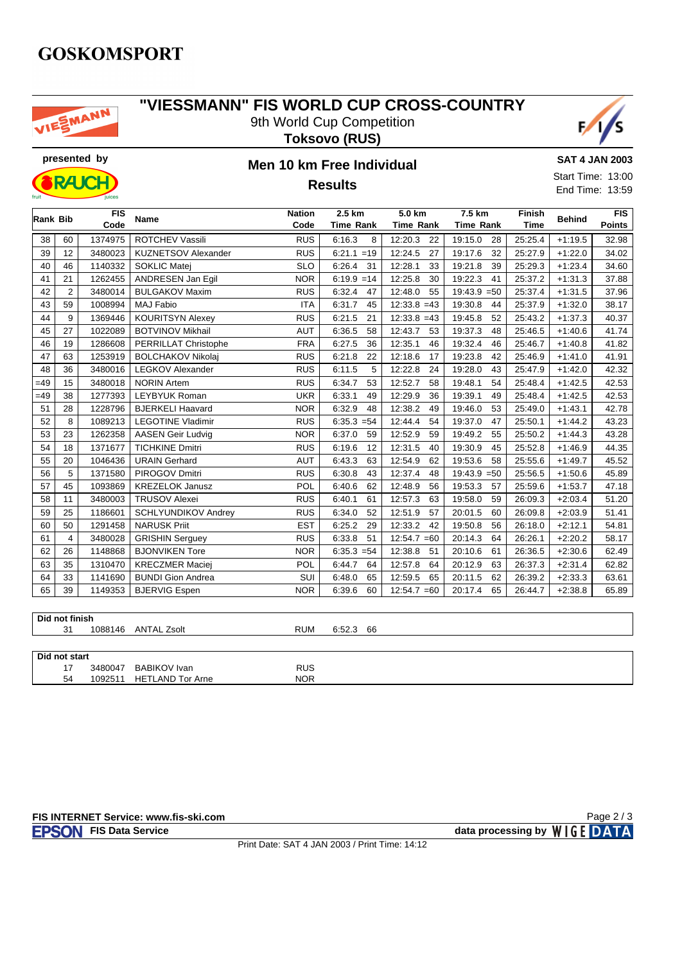## **GOSKOMSPORT**



### **"VIESSMANN" FIS WORLD CUP CROSS-COUNTRY** 9th World Cup Competition







# **Results**

#### **SAT 4 JAN 2003**

Start Time: 13:00 End Time: 13:59

|          |                | <b>FIS</b> |                            | <b>Nation</b> | 2.5 km           | 5.0 km           | 7.5 km           | <b>Finish</b> |               | FIS           |
|----------|----------------|------------|----------------------------|---------------|------------------|------------------|------------------|---------------|---------------|---------------|
| Rank Bib |                | Code       | Name                       | Code          | <b>Time Rank</b> | <b>Time Rank</b> | <b>Time Rank</b> | <b>Time</b>   | <b>Behind</b> | <b>Points</b> |
| 38       | 60             | 1374975    | <b>ROTCHEV Vassili</b>     | <b>RUS</b>    | 6:16.3<br>8      | 12:20.3<br>22    | 19:15.0<br>28    | 25:25.4       | $+1:19.5$     | 32.98         |
| 39       | 12             | 3480023    | <b>KUZNETSOV Alexander</b> | <b>RUS</b>    | $6:21.1 = 19$    | 12:24.5<br>27    | 19:17.6<br>32    | 25:27.9       | $+1:22.0$     | 34.02         |
| 40       | 46             | 1140332    | <b>SOKLIC Matej</b>        | <b>SLO</b>    | 6:26.4<br>31     | 12:28.1<br>33    | 19:21.8<br>39    | 25:29.3       | $+1:23.4$     | 34.60         |
| 41       | 21             | 1262455    | ANDRESEN Jan Egil          | <b>NOR</b>    | $6:19.9 = 14$    | 12:25.8<br>30    | 19:22.3<br>41    | 25:37.2       | $+1:31.3$     | 37.88         |
| 42       | $\overline{2}$ | 3480014    | <b>BULGAKOV Maxim</b>      | <b>RUS</b>    | 6:32.4<br>47     | 12:48.0<br>55    | $19:43.9 = 50$   | 25:37.4       | $+1:31.5$     | 37.96         |
| 43       | 59             | 1008994    | <b>MAJ Fabio</b>           | <b>ITA</b>    | 6:31.7<br>45     | $12:33.8 = 43$   | 19:30.8<br>44    | 25:37.9       | $+1:32.0$     | 38.17         |
| 44       | 9              | 1369446    | <b>KOURITSYN Alexey</b>    | <b>RUS</b>    | 6:21.5<br>21     | $12:33.8 = 43$   | 19:45.8<br>52    | 25:43.2       | $+1:37.3$     | 40.37         |
| 45       | 27             | 1022089    | <b>BOTVINOV Mikhail</b>    | <b>AUT</b>    | 6:36.5<br>58     | 12:43.7<br>53    | 19:37.3<br>48    | 25:46.5       | $+1:40.6$     | 41.74         |
| 46       | 19             | 1286608    | PERRILLAT Christophe       | <b>FRA</b>    | 6:27.5<br>36     | 12:35.1<br>46    | 19:32.4<br>46    | 25:46.7       | $+1:40.8$     | 41.82         |
| 47       | 63             | 1253919    | <b>BOLCHAKOV Nikolaj</b>   | <b>RUS</b>    | 6:21.8<br>22     | 12:18.6<br>17    | 19:23.8<br>42    | 25:46.9       | $+1:41.0$     | 41.91         |
| 48       | 36             | 3480016    | LEGKOV Alexander           | <b>RUS</b>    | 6:11.5<br>5      | 12:22.8<br>24    | 19:28.0<br>43    | 25:47.9       | $+1:42.0$     | 42.32         |
| $=49$    | 15             | 3480018    | <b>NORIN Artem</b>         | <b>RUS</b>    | 6:34.7<br>53     | 12:52.7<br>58    | 19:48.1<br>54    | 25:48.4       | $+1:42.5$     | 42.53         |
| $=49$    | 38             | 1277393    | <b>LEYBYUK Roman</b>       | <b>UKR</b>    | 6:33.1<br>49     | 12:29.9<br>36    | 19:39.1<br>49    | 25:48.4       | $+1:42.5$     | 42.53         |
| 51       | 28             | 1228796    | <b>BJERKELI Haavard</b>    | <b>NOR</b>    | 6:32.9<br>48     | 12:38.2<br>49    | 19:46.0<br>53    | 25:49.0       | $+1:43.1$     | 42.78         |
| 52       | 8              | 1089213    | <b>LEGOTINE Vladimir</b>   | <b>RUS</b>    | $6:35.3 = 54$    | 12:44.4<br>54    | 19:37.0<br>47    | 25:50.1       | $+1:44.2$     | 43.23         |
| 53       | 23             | 1262358    | <b>AASEN Geir Ludvig</b>   | <b>NOR</b>    | 6:37.0<br>59     | 12:52.9<br>59    | 19:49.2<br>55    | 25:50.2       | $+1:44.3$     | 43.28         |
| 54       | 18             | 1371677    | <b>TICHKINE Dmitri</b>     | <b>RUS</b>    | 6:19.6<br>12     | 12:31.5<br>40    | 19:30.9<br>45    | 25:52.8       | $+1:46.9$     | 44.35         |
| 55       | 20             | 1046436    | <b>URAIN Gerhard</b>       | <b>AUT</b>    | 6:43.3<br>63     | 12:54.9<br>62    | 19:53.6<br>58    | 25:55.6       | $+1:49.7$     | 45.52         |
| 56       | 5              | 1371580    | PIROGOV Dmitri             | <b>RUS</b>    | 6:30.8<br>43     | 12:37.4<br>48    | $19:43.9 = 50$   | 25:56.5       | $+1:50.6$     | 45.89         |
| 57       | 45             | 1093869    | <b>KREZELOK Janusz</b>     | POL           | 62<br>6:40.6     | 12:48.9<br>56    | 19:53.3<br>57    | 25:59.6       | $+1:53.7$     | 47.18         |
| 58       | 11             | 3480003    | <b>TRUSOV Alexei</b>       | <b>RUS</b>    | 6:40.1<br>61     | 12:57.3<br>63    | 19:58.0<br>59    | 26:09.3       | $+2:03.4$     | 51.20         |
| 59       | 25             | 1186601    | <b>SCHLYUNDIKOV Andrey</b> | <b>RUS</b>    | 6:34.0<br>52     | 12:51.9<br>57    | 20:01.5<br>60    | 26:09.8       | $+2:03.9$     | 51.41         |
| 60       | 50             | 1291458    | <b>NARUSK Priit</b>        | <b>EST</b>    | 6:25.2<br>29     | 12:33.2<br>42    | 19:50.8<br>56    | 26:18.0       | $+2:12.1$     | 54.81         |
| 61       | $\overline{4}$ | 3480028    | <b>GRISHIN Serguey</b>     | <b>RUS</b>    | 6:33.8<br>51     | $12:54.7 = 60$   | 20:14.3<br>64    | 26:26.1       | $+2:20.2$     | 58.17         |
| 62       | 26             | 1148868    | <b>BJONVIKEN Tore</b>      | <b>NOR</b>    | $6:35.3 = 54$    | 12:38.8<br>51    | 20:10.6<br>61    | 26:36.5       | $+2:30.6$     | 62.49         |
| 63       | 35             | 1310470    | <b>KRECZMER Maciej</b>     | POL           | 6:44.7<br>64     | 12:57.8<br>64    | 20:12.9<br>63    | 26:37.3       | $+2:31.4$     | 62.82         |
| 64       | 33             | 1141690    | <b>BUNDI Gion Andrea</b>   | SUI           | 6:48.0<br>65     | 12:59.5<br>65    | 20:11.5<br>62    | 26:39.2       | $+2:33.3$     | 63.61         |
| 65       | 39             | 1149353    | <b>BJERVIG Espen</b>       | <b>NOR</b>    | 6:39.6<br>60     | $12:54.7 = 60$   | 65<br>20:17.4    | 26:44.7       | $+2:38.8$     | 65.89         |
|          |                |            |                            |               |                  |                  |                  |               |               |               |
|          | Did not finish |            |                            |               |                  |                  |                  |               |               |               |
|          | 31             |            | 1088146 ANTAL Zsolt        | <b>RUM</b>    | 6:52.3 66        |                  |                  |               |               |               |

| Did not start |         |                       |            |  |  |  |  |  |
|---------------|---------|-----------------------|------------|--|--|--|--|--|
| . –           | 3480047 | <b>BABIKOV</b> Ivan   | <b>RUS</b> |  |  |  |  |  |
| 54            | 09251   | HETL<br>LAND Tor Arne | <b>NOR</b> |  |  |  |  |  |

Page 2 / 3